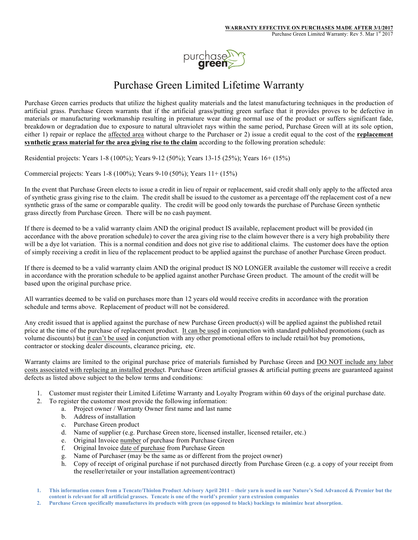

## Purchase Green Limited Lifetime Warranty

Purchase Green carries products that utilize the highest quality materials and the latest manufacturing techniques in the production of artificial grass. Purchase Green warrants that if the artificial grass/putting green surface that it provides proves to be defective in materials or manufacturing workmanship resulting in premature wear during normal use of the product or suffers significant fade, breakdown or degradation due to exposure to natural ultraviolet rays within the same period, Purchase Green will at its sole option, either 1) repair or replace the affected area without charge to the Purchaser or 2) issue a credit equal to the cost of the **replacement synthetic grass material for the area giving rise to the claim** according to the following proration schedule:

Residential projects: Years 1-8 (100%); Years 9-12 (50%); Years 13-15 (25%); Years 16+ (15%)

Commercial projects: Years 1-8 (100%); Years 9-10 (50%); Years 11+ (15%)

In the event that Purchase Green elects to issue a credit in lieu of repair or replacement, said credit shall only apply to the affected area of synthetic grass giving rise to the claim. The credit shall be issued to the customer as a percentage off the replacement cost of a new synthetic grass of the same or comparable quality. The credit will be good only towards the purchase of Purchase Green synthetic grass directly from Purchase Green. There will be no cash payment.

If there is deemed to be a valid warranty claim AND the original product IS available, replacement product will be provided (in accordance with the above proration schedule) to cover the area giving rise to the claim however there is a very high probability there will be a dye lot variation. This is a normal condition and does not give rise to additional claims. The customer does have the option of simply receiving a credit in lieu of the replacement product to be applied against the purchase of another Purchase Green product.

If there is deemed to be a valid warranty claim AND the original product IS NO LONGER available the customer will receive a credit in accordance with the proration schedule to be applied against another Purchase Green product. The amount of the credit will be based upon the original purchase price.

All warranties deemed to be valid on purchases more than 12 years old would receive credits in accordance with the proration schedule and terms above. Replacement of product will not be considered.

Any credit issued that is applied against the purchase of new Purchase Green product(s) will be applied against the published retail price at the time of the purchase of replacement product. It can be used in conjunction with standard published promotions (such as volume discounts) but it can't be used in conjunction with any other promotional offers to include retail/hot buy promotions, contractor or stocking dealer discounts, clearance pricing, etc.

Warranty claims are limited to the original purchase price of materials furnished by Purchase Green and DO NOT include any labor costs associated with replacing an installed product. Purchase Green artificial grasses & artificial putting greens are guaranteed against defects as listed above subject to the below terms and conditions:

- 1. Customer must register their Limited Lifetime Warranty and Loyalty Program within 60 days of the original purchase date.
- 2. To register the customer most provide the following information:
	- a. Project owner / Warranty Owner first name and last name
	- b. Address of installation
	- c. Purchase Green product
	- d. Name of supplier (e.g. Purchase Green store, licensed installer, licensed retailer, etc.)
	- e. Original Invoice number of purchase from Purchase Green
	- f. Original Invoice date of purchase from Purchase Green
	- g. Name of Purchaser (may be the same as or different from the project owner)
	- h. Copy of receipt of original purchase if not purchased directly from Purchase Green (e.g. a copy of your receipt from the reseller/retailer or your installation agreement/contract)

**2. Purchase Green specifically manufactures its products with green (as opposed to black) backings to minimize heat absorption.**

**<sup>1.</sup> This information comes from a Tencate/Thiolon Product Advisory April 2011 – their yarn is used in our Nature's Sod Advanced & Premier but the content is relevant for all artificial grasses. Tencate is one of the world's premier yarn extrusion companies**